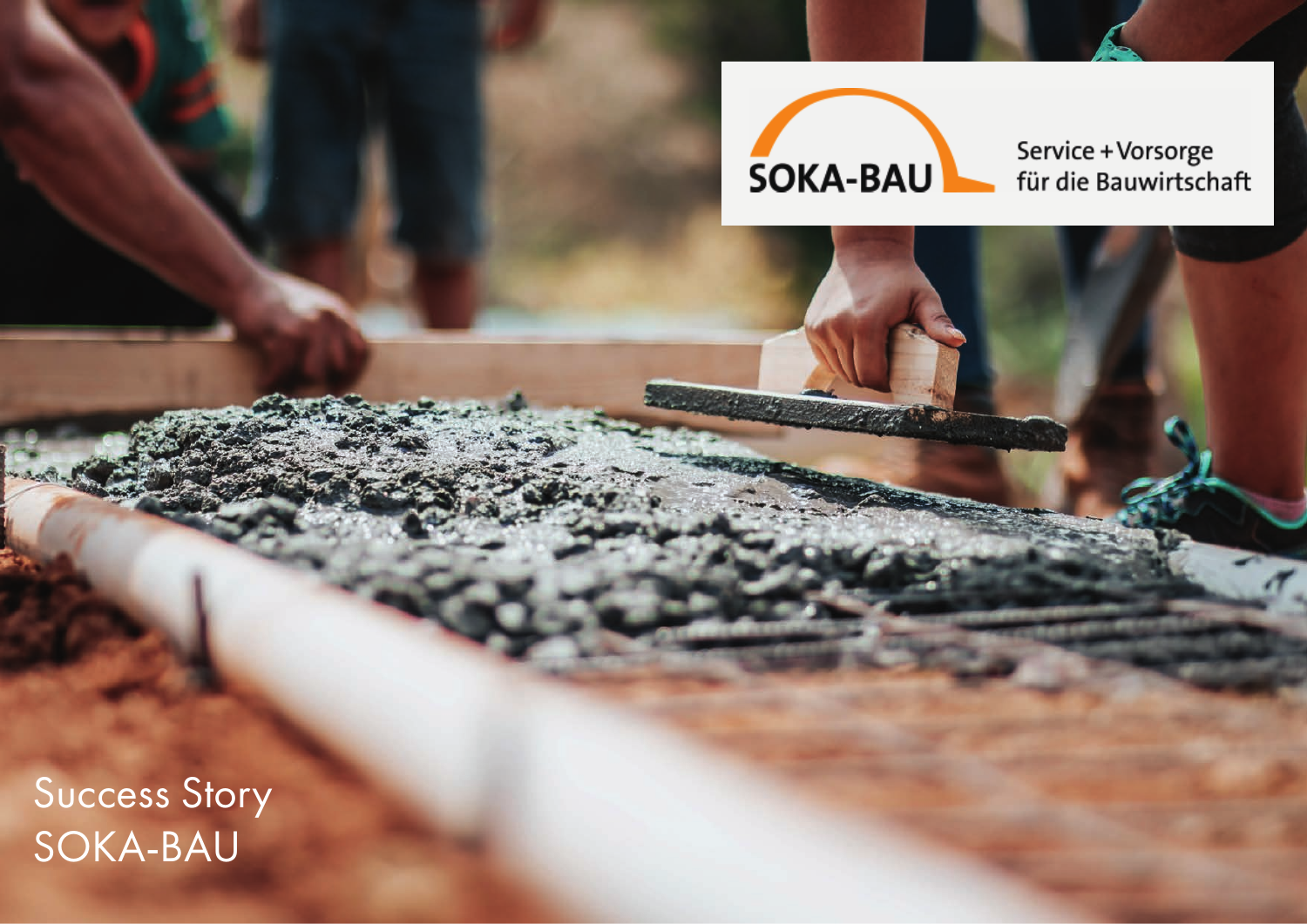

**Controllege State** 

Service + Vorsorge<br>für die Bauwirtschaft

Success Story SOKA-BAU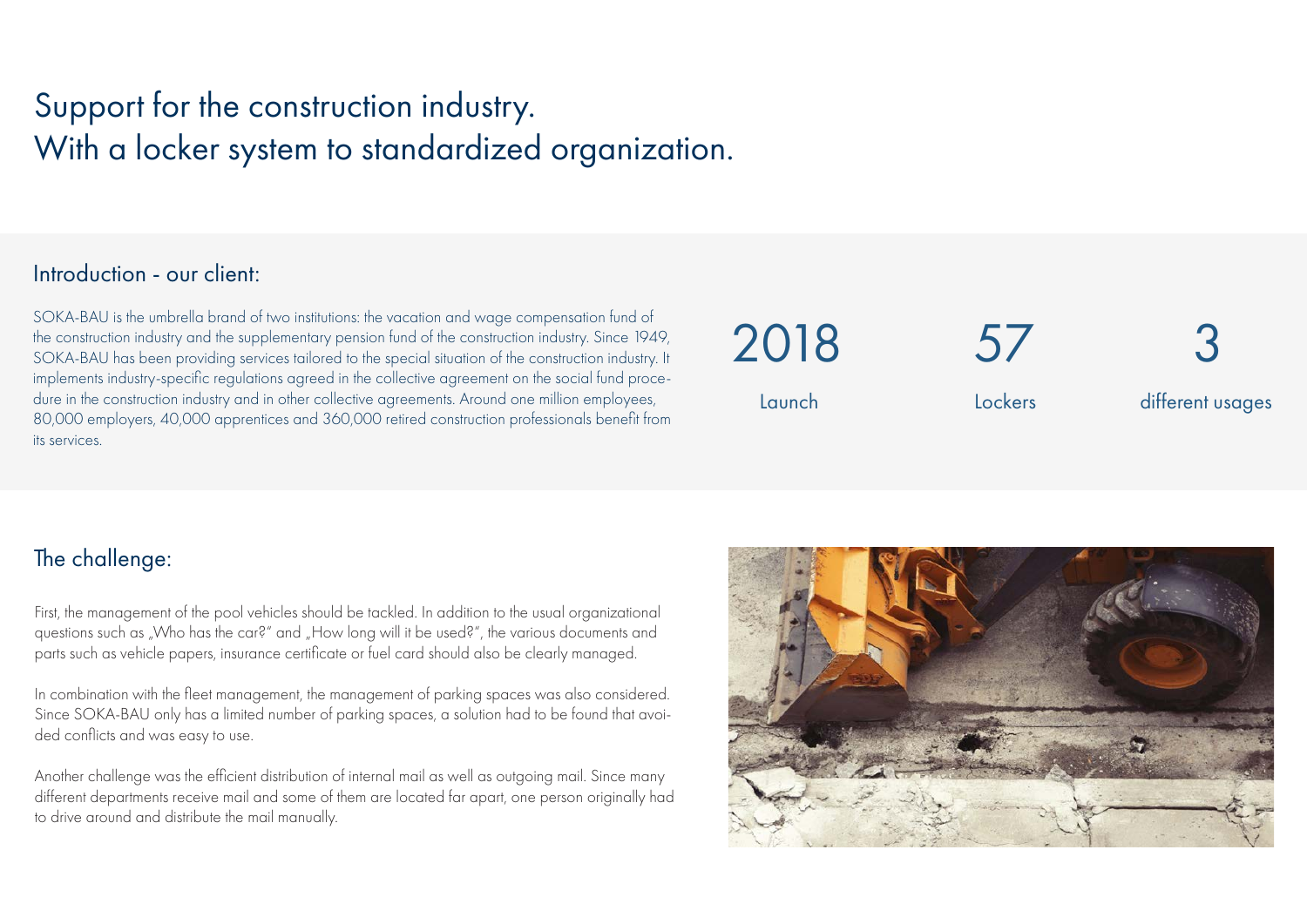# Support for the construction industry. With a locker system to standardized organization.

#### Introduction - our client:

SOKA-BAU is the umbrella brand of two institutions: the vacation and wage compensation fund of the construction industry and the supplementary pension fund of the construction industry. Since 1949, SOKA-BAU has been providing services tailored to the special situation of the construction industry. It implements industry-specific regulations agreed in the collective agreement on the social fund procedure in the construction industry and in other collective agreements. Around one million employees, 80,000 employers, 40,000 apprentices and 360,000 retired construction professionals benefit from its services.

 $5/$ Lockers 2018 Launch 3 different usages

# The challenge:

First, the management of the pool vehicles should be tackled. In addition to the usual organizational questions such as "Who has the car?" and "How long will it be used?", the various documents and parts such as vehicle papers, insurance certificate or fuel card should also be clearly managed.

In combination with the fleet management, the management of parking spaces was also considered. Since SOKA-BAU only has a limited number of parking spaces, a solution had to be found that avoided conflicts and was easy to use.

Another challenge was the efficient distribution of internal mail as well as outgoing mail. Since many different departments receive mail and some of them are located far apart, one person originally had to drive around and distribute the mail manually.